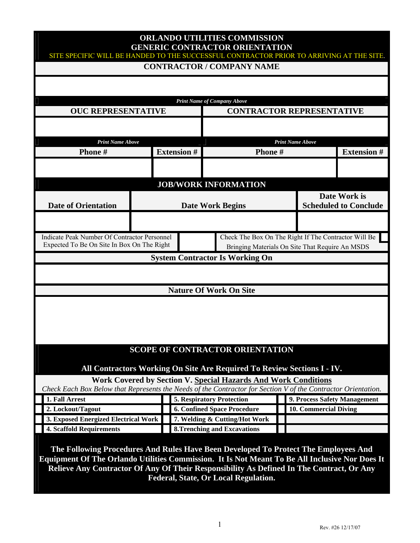# **ORLANDO UTILITIES COMMISSION GENERIC CONTRACTOR ORIENTATION**

|                                                                                                                                                                                                                                                                                   |                    |  | <b>CONTRACTOR / COMPANY NAME</b>                                      |                         |                       |                              |
|-----------------------------------------------------------------------------------------------------------------------------------------------------------------------------------------------------------------------------------------------------------------------------------|--------------------|--|-----------------------------------------------------------------------|-------------------------|-----------------------|------------------------------|
|                                                                                                                                                                                                                                                                                   |                    |  |                                                                       |                         |                       |                              |
|                                                                                                                                                                                                                                                                                   |                    |  |                                                                       |                         |                       |                              |
|                                                                                                                                                                                                                                                                                   |                    |  | <b>Print Name of Company Above</b>                                    |                         |                       |                              |
| <b>OUC REPRESENTATIVE</b>                                                                                                                                                                                                                                                         |                    |  | <b>CONTRACTOR REPRESENTATIVE</b>                                      |                         |                       |                              |
|                                                                                                                                                                                                                                                                                   |                    |  |                                                                       |                         |                       |                              |
|                                                                                                                                                                                                                                                                                   |                    |  |                                                                       |                         |                       |                              |
| <b>Print Name Above</b>                                                                                                                                                                                                                                                           |                    |  |                                                                       | <b>Print Name Above</b> |                       |                              |
| Phone#                                                                                                                                                                                                                                                                            | <b>Extension #</b> |  | Phone#                                                                |                         |                       | <b>Extension #</b>           |
|                                                                                                                                                                                                                                                                                   |                    |  |                                                                       |                         |                       |                              |
|                                                                                                                                                                                                                                                                                   |                    |  | <b>JOB/WORK INFORMATION</b>                                           |                         |                       |                              |
|                                                                                                                                                                                                                                                                                   |                    |  |                                                                       |                         |                       | Date Work is                 |
| <b>Date of Orientation</b>                                                                                                                                                                                                                                                        |                    |  | <b>Date Work Begins</b>                                               |                         |                       | <b>Scheduled to Conclude</b> |
|                                                                                                                                                                                                                                                                                   |                    |  |                                                                       |                         |                       |                              |
|                                                                                                                                                                                                                                                                                   |                    |  |                                                                       |                         |                       |                              |
| <b>Indicate Peak Number Of Contractor Personnel</b>                                                                                                                                                                                                                               |                    |  | Check The Box On The Right If The Contractor Will Be                  |                         |                       |                              |
| Expected To Be On Site In Box On The Right<br>Bringing Materials On Site That Require An MSDS                                                                                                                                                                                     |                    |  |                                                                       |                         |                       |                              |
|                                                                                                                                                                                                                                                                                   |                    |  | <b>System Contractor Is Working On</b>                                |                         |                       |                              |
|                                                                                                                                                                                                                                                                                   |                    |  |                                                                       |                         |                       |                              |
|                                                                                                                                                                                                                                                                                   |                    |  |                                                                       |                         |                       |                              |
|                                                                                                                                                                                                                                                                                   |                    |  | <b>Nature Of Work On Site</b>                                         |                         |                       |                              |
|                                                                                                                                                                                                                                                                                   |                    |  |                                                                       |                         |                       |                              |
|                                                                                                                                                                                                                                                                                   |                    |  |                                                                       |                         |                       |                              |
|                                                                                                                                                                                                                                                                                   |                    |  | <b>SCOPE OF CONTRACTOR ORIENTATION</b>                                |                         |                       |                              |
|                                                                                                                                                                                                                                                                                   |                    |  |                                                                       |                         |                       |                              |
| All Contractors Working On Site Are Required To Review Sections I - IV.                                                                                                                                                                                                           |                    |  |                                                                       |                         |                       |                              |
|                                                                                                                                                                                                                                                                                   |                    |  | <b>Work Covered by Section V. Special Hazards And Work Conditions</b> |                         |                       |                              |
| Check Each Box Below that Represents the Needs of the Contractor for Section V of the Contractor Orientation.                                                                                                                                                                     |                    |  |                                                                       |                         |                       |                              |
| 1. Fall Arrest                                                                                                                                                                                                                                                                    |                    |  | <b>5. Respiratory Protection</b>                                      |                         |                       | 9. Process Safety Management |
| 2. Lockout/Tagout                                                                                                                                                                                                                                                                 |                    |  | <b>6. Confined Space Procedure</b>                                    |                         | 10. Commercial Diving |                              |
| 3. Exposed Energized Electrical Work                                                                                                                                                                                                                                              |                    |  | 7. Welding & Cutting/Hot Work                                         |                         |                       |                              |
| <b>4. Scaffold Requirements</b>                                                                                                                                                                                                                                                   |                    |  | <b>8.Trenching and Excavations</b>                                    |                         |                       |                              |
|                                                                                                                                                                                                                                                                                   |                    |  |                                                                       |                         |                       |                              |
| The Following Procedures And Rules Have Been Developed To Protect The Employees And<br>Equipment Of The Orlando Utilities Commission. It Is Not Meant To Be All Inclusive Nor Does It<br>Relieve Any Contractor Of Any Of Their Responsibility As Defined In The Contract, Or Any |                    |  |                                                                       |                         |                       |                              |

**Federal, State, Or Local Regulation.**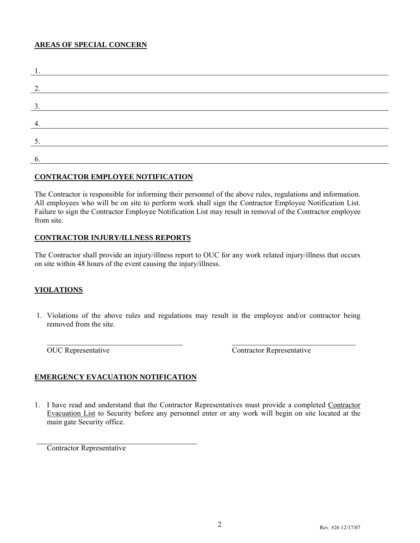#### **AREAS OF SPECIAL CONCERN**

| 2.             |  |  |
|----------------|--|--|
|                |  |  |
| 3.             |  |  |
|                |  |  |
|                |  |  |
|                |  |  |
| 5.             |  |  |
|                |  |  |
| $\mathbf{b}$ . |  |  |

#### **CONTRACTOR EMPLOYEE NOTIFICATION**

The Contractor is responsible for informing their personnel of the above rules, regulations and information. All employees who will be on site to perform work shall sign the Contractor Employee Notification List. Failure to sign the Contractor Employee Notification List may result in removal of the Contractor employee from site.

#### **CONTRACTOR INJURY/ILLNESS REPORTS**

The Contractor shall provide an injury/illness report to OUC for any work related injury/illness that occurs on site within 48 hours of the event causing the injury/illness.

#### **VIOLATIONS**

 1. Violations of the above rules and regulations may result in the employee and/or contractor being removed from the site.

OUC Representative Contractor Representative

#### **EMERGENCY EVACUATION NOTIFICATION**

1. I have read and understand that the Contractor Representatives must provide a completed Contractor Evacuation List to Security before any personnel enter or any work will begin on site located at the main gate Security office.

Contractor Representative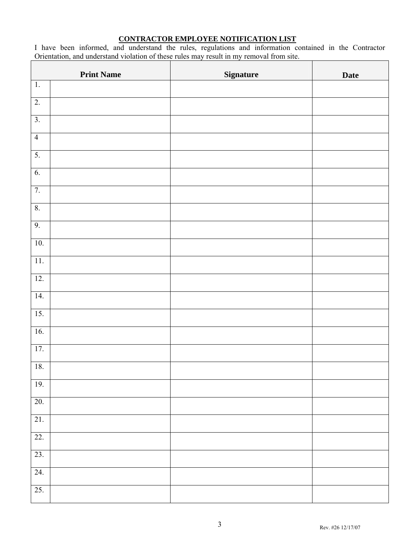#### **CONTRACTOR EMPLOYEE NOTIFICATION LIST**

I have been informed, and understand the rules, regulations and information contained in the Contractor Orientation, and understand violation of these rules may result in my removal from site.

|                   | <b>Print Name</b> | <b>Signature</b> | <b>Date</b> |
|-------------------|-------------------|------------------|-------------|
| $\overline{1}$ .  |                   |                  |             |
| $\overline{2}$ .  |                   |                  |             |
| $\overline{3}$ .  |                   |                  |             |
| $\overline{4}$    |                   |                  |             |
| 5.                |                   |                  |             |
| 6.                |                   |                  |             |
| 7.                |                   |                  |             |
| $\boldsymbol{8}.$ |                   |                  |             |
| 9.                |                   |                  |             |
| 10.               |                   |                  |             |
| $11.$             |                   |                  |             |
| 12.               |                   |                  |             |
| 14.               |                   |                  |             |
| $\overline{15}$ . |                   |                  |             |
| 16.               |                   |                  |             |
| 17.               |                   |                  |             |
| 18.               |                   |                  |             |
| 19.               |                   |                  |             |
| 20.               |                   |                  |             |
| $\overline{21}$ . |                   |                  |             |
| 22.               |                   |                  |             |
| 23.               |                   |                  |             |
| 24.               |                   |                  |             |
| 25.               |                   |                  |             |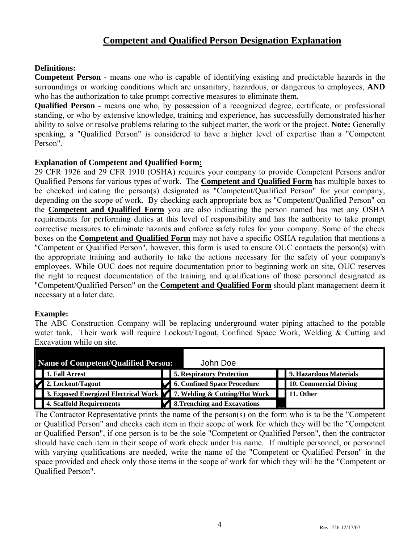### **Competent and Qualified Person Designation Explanation**

#### **Definitions:**

**Competent Person** - means one who is capable of identifying existing and predictable hazards in the surroundings or working conditions which are unsanitary, hazardous, or dangerous to employees, **AND**  who has the authorization to take prompt corrective measures to eliminate them.

**Qualified Person** - means one who, by possession of a recognized degree, certificate, or professional standing, or who by extensive knowledge, training and experience, has successfully demonstrated his/her ability to solve or resolve problems relating to the subject matter, the work or the project. **Note:** Generally speaking, a "Qualified Person" is considered to have a higher level of expertise than a "Competent Person".

#### **Explanation of Competent and Qualified Form:**

29 CFR 1926 and 29 CFR 1910 (OSHA) requires your company to provide Competent Persons and/or Qualified Persons for various types of work. The **Competent and Qualified Form** has multiple boxes to be checked indicating the person(s) designated as "Competent/Qualified Person" for your company, depending on the scope of work. By checking each appropriate box as "Competent/Qualified Person" on the **Competent and Qualified Form** you are also indicating the person named has met any OSHA requirements for performing duties at this level of responsibility and has the authority to take prompt corrective measures to eliminate hazards and enforce safety rules for your company. Some of the check boxes on the **Competent and Qualified Form** may not have a specific OSHA regulation that mentions a "Competent or Qualified Person", however, this form is used to ensure OUC contacts the person(s) with the appropriate training and authority to take the actions necessary for the safety of your company's employees. While OUC does not require documentation prior to beginning work on site, OUC reserves the right to request documentation of the training and qualifications of those personnel designated as "Competent/Qualified Person" on the **Competent and Qualified Form** should plant management deem it necessary at a later date.

#### **Example:**

The ABC Construction Company will be replacing underground water piping attached to the potable water tank. Their work will require Lockout/Tagout, Confined Space Work, Welding & Cutting and Excavation while on site.

| Name of Competent/Qualified Person:                                   | John Doe                         |                        |
|-----------------------------------------------------------------------|----------------------------------|------------------------|
| 1. Fall Arrest                                                        | <b>5. Respiratory Protection</b> | 9. Hazardous Materials |
| 2. Lockout/Tagout                                                     | 6. Confined Space Procedure      | 10. Commercial Diving  |
| 3. Exposed Energized Electrical Work 7. Welding $\&$ Cutting/Hot Work |                                  | 11. Other              |
| 4. Scaffold Requirements                                              | 8. Trenching and Excavations     |                        |

The Contractor Representative prints the name of the person(s) on the form who is to be the "Competent or Qualified Person" and checks each item in their scope of work for which they will be the "Competent or Qualified Person", if one person is to be the sole "Competent or Qualified Person", then the contractor should have each item in their scope of work check under his name. If multiple personnel, or personnel with varying qualifications are needed, write the name of the "Competent or Qualified Person" in the space provided and check only those items in the scope of work for which they will be the "Competent or Qualified Person".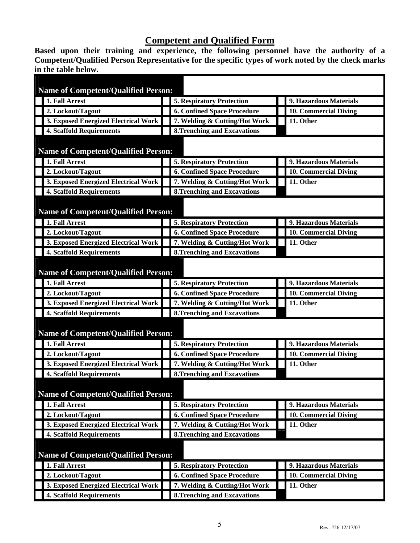# **Competent and Qualified Form**

**Based upon their training and experience, the following personnel have the authority of a Competent/Qualified Person Representative for the specific types of work noted by the check marks in the table below.** 

|                                            |                                                                                                                                                                                                                                                                                                                                                                                                                                                                                                   |                                     | 9. Hazardous Materials                                                                                                                                                                                                                                                                                                                                                                                                                                                                                                                                                                                                                                                                                                                                                                                                                  |  |  |
|--------------------------------------------|---------------------------------------------------------------------------------------------------------------------------------------------------------------------------------------------------------------------------------------------------------------------------------------------------------------------------------------------------------------------------------------------------------------------------------------------------------------------------------------------------|-------------------------------------|-----------------------------------------------------------------------------------------------------------------------------------------------------------------------------------------------------------------------------------------------------------------------------------------------------------------------------------------------------------------------------------------------------------------------------------------------------------------------------------------------------------------------------------------------------------------------------------------------------------------------------------------------------------------------------------------------------------------------------------------------------------------------------------------------------------------------------------------|--|--|
|                                            |                                                                                                                                                                                                                                                                                                                                                                                                                                                                                                   |                                     | <b>10. Commercial Diving</b>                                                                                                                                                                                                                                                                                                                                                                                                                                                                                                                                                                                                                                                                                                                                                                                                            |  |  |
|                                            |                                                                                                                                                                                                                                                                                                                                                                                                                                                                                                   |                                     | 11. Other                                                                                                                                                                                                                                                                                                                                                                                                                                                                                                                                                                                                                                                                                                                                                                                                                               |  |  |
|                                            |                                                                                                                                                                                                                                                                                                                                                                                                                                                                                                   |                                     |                                                                                                                                                                                                                                                                                                                                                                                                                                                                                                                                                                                                                                                                                                                                                                                                                                         |  |  |
|                                            |                                                                                                                                                                                                                                                                                                                                                                                                                                                                                                   |                                     |                                                                                                                                                                                                                                                                                                                                                                                                                                                                                                                                                                                                                                                                                                                                                                                                                                         |  |  |
|                                            |                                                                                                                                                                                                                                                                                                                                                                                                                                                                                                   |                                     |                                                                                                                                                                                                                                                                                                                                                                                                                                                                                                                                                                                                                                                                                                                                                                                                                                         |  |  |
| 1. Fall Arrest                             |                                                                                                                                                                                                                                                                                                                                                                                                                                                                                                   |                                     | 9. Hazardous Materials                                                                                                                                                                                                                                                                                                                                                                                                                                                                                                                                                                                                                                                                                                                                                                                                                  |  |  |
|                                            |                                                                                                                                                                                                                                                                                                                                                                                                                                                                                                   |                                     | 10. Commercial Diving                                                                                                                                                                                                                                                                                                                                                                                                                                                                                                                                                                                                                                                                                                                                                                                                                   |  |  |
|                                            |                                                                                                                                                                                                                                                                                                                                                                                                                                                                                                   |                                     | 11. Other                                                                                                                                                                                                                                                                                                                                                                                                                                                                                                                                                                                                                                                                                                                                                                                                                               |  |  |
|                                            |                                                                                                                                                                                                                                                                                                                                                                                                                                                                                                   |                                     |                                                                                                                                                                                                                                                                                                                                                                                                                                                                                                                                                                                                                                                                                                                                                                                                                                         |  |  |
|                                            |                                                                                                                                                                                                                                                                                                                                                                                                                                                                                                   |                                     |                                                                                                                                                                                                                                                                                                                                                                                                                                                                                                                                                                                                                                                                                                                                                                                                                                         |  |  |
|                                            |                                                                                                                                                                                                                                                                                                                                                                                                                                                                                                   | <b>5. Respiratory Protection</b>    | 9. Hazardous Materials                                                                                                                                                                                                                                                                                                                                                                                                                                                                                                                                                                                                                                                                                                                                                                                                                  |  |  |
|                                            |                                                                                                                                                                                                                                                                                                                                                                                                                                                                                                   | <b>6. Confined Space Procedure</b>  | 10. Commercial Diving                                                                                                                                                                                                                                                                                                                                                                                                                                                                                                                                                                                                                                                                                                                                                                                                                   |  |  |
|                                            |                                                                                                                                                                                                                                                                                                                                                                                                                                                                                                   |                                     | 11. Other                                                                                                                                                                                                                                                                                                                                                                                                                                                                                                                                                                                                                                                                                                                                                                                                                               |  |  |
|                                            |                                                                                                                                                                                                                                                                                                                                                                                                                                                                                                   |                                     |                                                                                                                                                                                                                                                                                                                                                                                                                                                                                                                                                                                                                                                                                                                                                                                                                                         |  |  |
| <b>Name of Competent/Qualified Person:</b> |                                                                                                                                                                                                                                                                                                                                                                                                                                                                                                   |                                     |                                                                                                                                                                                                                                                                                                                                                                                                                                                                                                                                                                                                                                                                                                                                                                                                                                         |  |  |
|                                            |                                                                                                                                                                                                                                                                                                                                                                                                                                                                                                   |                                     | 9. Hazardous Materials                                                                                                                                                                                                                                                                                                                                                                                                                                                                                                                                                                                                                                                                                                                                                                                                                  |  |  |
|                                            |                                                                                                                                                                                                                                                                                                                                                                                                                                                                                                   |                                     | 10. Commercial Diving                                                                                                                                                                                                                                                                                                                                                                                                                                                                                                                                                                                                                                                                                                                                                                                                                   |  |  |
|                                            |                                                                                                                                                                                                                                                                                                                                                                                                                                                                                                   |                                     | 11. Other                                                                                                                                                                                                                                                                                                                                                                                                                                                                                                                                                                                                                                                                                                                                                                                                                               |  |  |
|                                            |                                                                                                                                                                                                                                                                                                                                                                                                                                                                                                   |                                     |                                                                                                                                                                                                                                                                                                                                                                                                                                                                                                                                                                                                                                                                                                                                                                                                                                         |  |  |
|                                            |                                                                                                                                                                                                                                                                                                                                                                                                                                                                                                   |                                     |                                                                                                                                                                                                                                                                                                                                                                                                                                                                                                                                                                                                                                                                                                                                                                                                                                         |  |  |
| 1. Fall Arrest                             |                                                                                                                                                                                                                                                                                                                                                                                                                                                                                                   | <b>5. Respiratory Protection</b>    | 9. Hazardous Materials                                                                                                                                                                                                                                                                                                                                                                                                                                                                                                                                                                                                                                                                                                                                                                                                                  |  |  |
| 2. Lockout/Tagout                          |                                                                                                                                                                                                                                                                                                                                                                                                                                                                                                   | <b>6. Confined Space Procedure</b>  | 10. Commercial Diving                                                                                                                                                                                                                                                                                                                                                                                                                                                                                                                                                                                                                                                                                                                                                                                                                   |  |  |
|                                            |                                                                                                                                                                                                                                                                                                                                                                                                                                                                                                   |                                     | 11. Other                                                                                                                                                                                                                                                                                                                                                                                                                                                                                                                                                                                                                                                                                                                                                                                                                               |  |  |
| <b>4. Scaffold Requirements</b>            |                                                                                                                                                                                                                                                                                                                                                                                                                                                                                                   | <b>8. Trenching and Excavations</b> |                                                                                                                                                                                                                                                                                                                                                                                                                                                                                                                                                                                                                                                                                                                                                                                                                                         |  |  |
|                                            |                                                                                                                                                                                                                                                                                                                                                                                                                                                                                                   |                                     |                                                                                                                                                                                                                                                                                                                                                                                                                                                                                                                                                                                                                                                                                                                                                                                                                                         |  |  |
| 1. Fall Arrest                             |                                                                                                                                                                                                                                                                                                                                                                                                                                                                                                   | <b>5. Respiratory Protection</b>    | 9. Hazardous Materials                                                                                                                                                                                                                                                                                                                                                                                                                                                                                                                                                                                                                                                                                                                                                                                                                  |  |  |
| 2. Lockout/Tagout                          |                                                                                                                                                                                                                                                                                                                                                                                                                                                                                                   | <b>6. Confined Space Procedure</b>  | 10. Commercial Diving                                                                                                                                                                                                                                                                                                                                                                                                                                                                                                                                                                                                                                                                                                                                                                                                                   |  |  |
| 3. Exposed Energized Electrical Work       |                                                                                                                                                                                                                                                                                                                                                                                                                                                                                                   | 7. Welding & Cutting/Hot Work       | 11. Other                                                                                                                                                                                                                                                                                                                                                                                                                                                                                                                                                                                                                                                                                                                                                                                                                               |  |  |
| <b>4. Scaffold Requirements</b>            |                                                                                                                                                                                                                                                                                                                                                                                                                                                                                                   |                                     |                                                                                                                                                                                                                                                                                                                                                                                                                                                                                                                                                                                                                                                                                                                                                                                                                                         |  |  |
|                                            |                                                                                                                                                                                                                                                                                                                                                                                                                                                                                                   |                                     |                                                                                                                                                                                                                                                                                                                                                                                                                                                                                                                                                                                                                                                                                                                                                                                                                                         |  |  |
| <b>Name of Competent/Qualified Person:</b> |                                                                                                                                                                                                                                                                                                                                                                                                                                                                                                   |                                     |                                                                                                                                                                                                                                                                                                                                                                                                                                                                                                                                                                                                                                                                                                                                                                                                                                         |  |  |
| 1. Fall Arrest                             |                                                                                                                                                                                                                                                                                                                                                                                                                                                                                                   | <b>5. Respiratory Protection</b>    | 9. Hazardous Materials                                                                                                                                                                                                                                                                                                                                                                                                                                                                                                                                                                                                                                                                                                                                                                                                                  |  |  |
| 2. Lockout/Tagout                          |                                                                                                                                                                                                                                                                                                                                                                                                                                                                                                   | <b>6. Confined Space Procedure</b>  | 10. Commercial Diving                                                                                                                                                                                                                                                                                                                                                                                                                                                                                                                                                                                                                                                                                                                                                                                                                   |  |  |
| 3. Exposed Energized Electrical Work       |                                                                                                                                                                                                                                                                                                                                                                                                                                                                                                   | 7. Welding & Cutting/Hot Work       | 11. Other                                                                                                                                                                                                                                                                                                                                                                                                                                                                                                                                                                                                                                                                                                                                                                                                                               |  |  |
|                                            | 1. Fall Arrest<br>2. Lockout/Tagout<br>3. Exposed Energized Electrical Work<br><b>4. Scaffold Requirements</b><br>2. Lockout/Tagout<br>3. Exposed Energized Electrical Work<br><b>4. Scaffold Requirements</b><br>1. Fall Arrest<br>2. Lockout/Tagout<br>3. Exposed Energized Electrical Work<br><b>4. Scaffold Requirements</b><br>1. Fall Arrest<br>2. Lockout/Tagout<br>3. Exposed Energized Electrical Work<br><b>4. Scaffold Requirements</b><br><b>3. Exposed Energized Electrical Work</b> |                                     | <b>Name of Competent/Qualified Person:</b><br><b>5. Respiratory Protection</b><br><b>6. Confined Space Procedure</b><br>7. Welding & Cutting/Hot Work<br><b>8. Trenching and Excavations</b><br><b>Name of Competent/Qualified Person:</b><br><b>5. Respiratory Protection</b><br><b>6. Confined Space Procedure</b><br>7. Welding & Cutting/Hot Work<br><b>8. Trenching and Excavations</b><br><b>Name of Competent/Qualified Person:</b><br>7. Welding & Cutting/Hot Work<br><b>8. Trenching and Excavations</b><br><b>5. Respiratory Protection</b><br><b>6. Confined Space Procedure</b><br>7. Welding & Cutting/Hot Work<br><b>8. Trenching and Excavations</b><br><b>Name of Competent/Qualified Person:</b><br>7. Welding & Cutting/Hot Work<br><b>Name of Competent/Qualified Person:</b><br><b>8.Trenching and Excavations</b> |  |  |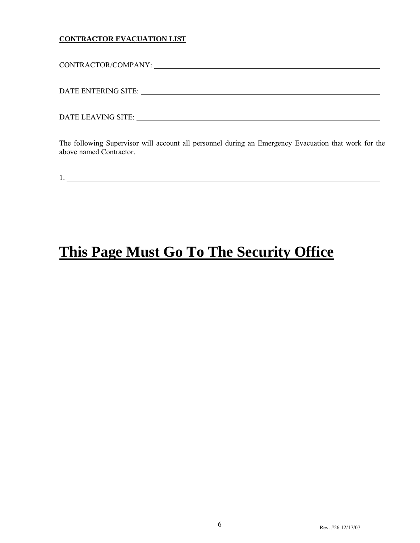#### **CONTRACTOR EVACUATION LIST**

CONTRACTOR/COMPANY:

DATE ENTERING SITE:

DATE LEAVING SITE:

The following Supervisor will account all personnel during an Emergency Evacuation that work for the above named Contractor.

1. <u>2000 - 2000 - 2000 - 2000 - 2000 - 2000 - 2000 - 2000 - 2000 - 2000 - 2000 - 2000 - 2000 - 2000 - 2000 - 20</u>

# **This Page Must Go To The Security Office**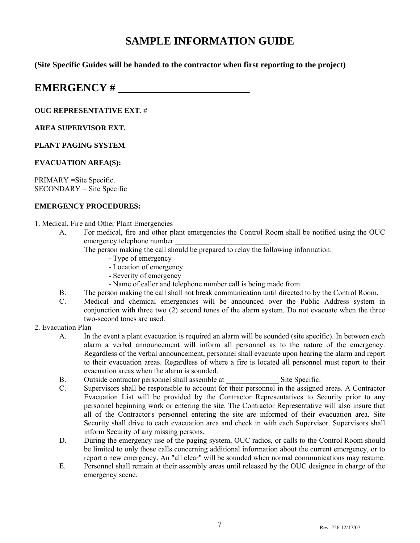# **SAMPLE INFORMATION GUIDE**

**(Site Specific Guides will be handed to the contractor when first reporting to the project)** 

# **EMERGENCY #**

#### **OUC REPRESENTATIVE EXT**. #

#### **AREA SUPERVISOR EXT.**

#### **PLANT PAGING SYSTEM**.

#### **EVACUATION AREA(S):**

PRIMARY =Site Specific. SECONDARY = Site Specific

#### **EMERGENCY PROCEDURES:**

- 1. Medical, Fire and Other Plant Emergencies
	- A. For medical, fire and other plant emergencies the Control Room shall be notified using the OUC emergency telephone number
		- The person making the call should be prepared to relay the following information:
			- Type of emergency
			- Location of emergency
			- Severity of emergency
			- Name of caller and telephone number call is being made from
	- B. The person making the call shall not break communication until directed to by the Control Room.
	- C. Medical and chemical emergencies will be announced over the Public Address system in conjunction with three two (2) second tones of the alarm system. Do not evacuate when the three two-second tones are used.

#### 2. Evacuation Plan

- A. In the event a plant evacuation is required an alarm will be sounded (site specific). In between each alarm a verbal announcement will inform all personnel as to the nature of the emergency. Regardless of the verbal announcement, personnel shall evacuate upon hearing the alarm and report to their evacuation areas. Regardless of where a fire is located all personnel must report to their evacuation areas when the alarm is sounded.
- B. Outside contractor personnel shall assemble at Site Specific.
- C. Supervisors shall be responsible to account for their personnel in the assigned areas. A Contractor Evacuation List will be provided by the Contractor Representatives to Security prior to any personnel beginning work or entering the site. The Contractor Representative will also insure that all of the Contractor's personnel entering the site are informed of their evacuation area. Site Security shall drive to each evacuation area and check in with each Supervisor. Supervisors shall inform Security of any missing persons.
- D. During the emergency use of the paging system, OUC radios, or calls to the Control Room should be limited to only those calls concerning additional information about the current emergency, or to report a new emergency. An "all clear" will be sounded when normal communications may resume.
- E. Personnel shall remain at their assembly areas until released by the OUC designee in charge of the emergency scene.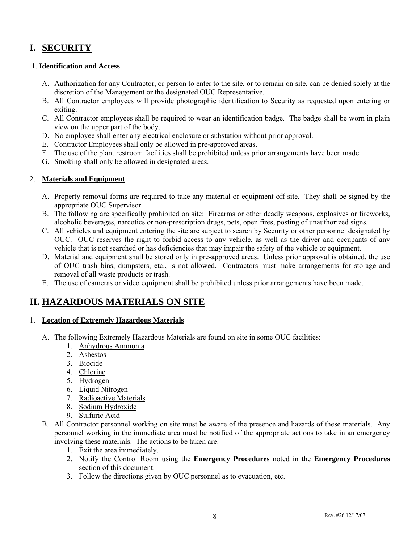# **I. SECURITY**

#### 1. **Identification and Access**

- A. Authorization for any Contractor, or person to enter to the site, or to remain on site, can be denied solely at the discretion of the Management or the designated OUC Representative.
- B. All Contractor employees will provide photographic identification to Security as requested upon entering or exiting.
- C. All Contractor employees shall be required to wear an identification badge. The badge shall be worn in plain view on the upper part of the body.
- D. No employee shall enter any electrical enclosure or substation without prior approval.
- E. Contractor Employees shall only be allowed in pre-approved areas.
- F. The use of the plant restroom facilities shall be prohibited unless prior arrangements have been made.
- G. Smoking shall only be allowed in designated areas.

#### 2. **Materials and Equipment**

- A. Property removal forms are required to take any material or equipment off site. They shall be signed by the appropriate OUC Supervisor.
- B. The following are specifically prohibited on site: Firearms or other deadly weapons, explosives or fireworks, alcoholic beverages, narcotics or non-prescription drugs, pets, open fires, posting of unauthorized signs.
- C. All vehicles and equipment entering the site are subject to search by Security or other personnel designated by OUC. OUC reserves the right to forbid access to any vehicle, as well as the driver and occupants of any vehicle that is not searched or has deficiencies that may impair the safety of the vehicle or equipment.
- D. Material and equipment shall be stored only in pre-approved areas. Unless prior approval is obtained, the use of OUC trash bins, dumpsters, etc., is not allowed. Contractors must make arrangements for storage and removal of all waste products or trash.
- E. The use of cameras or video equipment shall be prohibited unless prior arrangements have been made.

### **II. HAZARDOUS MATERIALS ON SITE**

#### 1. **Location of Extremely Hazardous Materials**

- A. The following Extremely Hazardous Materials are found on site in some OUC facilities:
	- 1. Anhydrous Ammonia
	- 2. Asbestos
	- 3. Biocide
	- 4. Chlorine
	- 5. Hydrogen
	- 6. Liquid Nitrogen
	- 7. Radioactive Materials
	- 8. Sodium Hydroxide
	- 9. Sulfuric Acid
- B. All Contractor personnel working on site must be aware of the presence and hazards of these materials. Any personnel working in the immediate area must be notified of the appropriate actions to take in an emergency involving these materials. The actions to be taken are:
	- 1. Exit the area immediately.
	- 2. Notify the Control Room using the **Emergency Procedures** noted in the **Emergency Procedures** section of this document.
	- 3. Follow the directions given by OUC personnel as to evacuation, etc.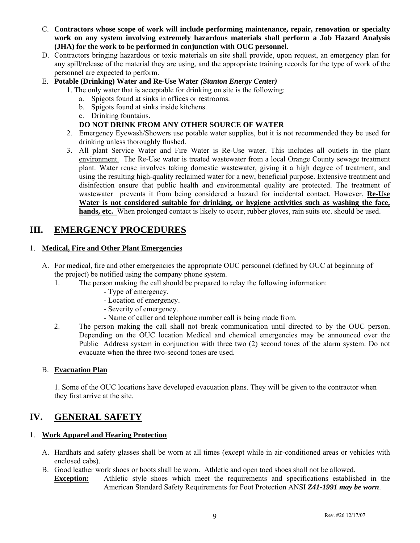- C. **Contractors whose scope of work will include performing maintenance, repair, renovation or specialty work on any system involving extremely hazardous materials shall perform a Job Hazard Analysis (JHA) for the work to be performed in conjunction with OUC personnel.**
- D. Contractors bringing hazardous or toxic materials on site shall provide, upon request, an emergency plan for any spill/release of the material they are using, and the appropriate training records for the type of work of the personnel are expected to perform.
- E. **Potable (Drinking) Water and Re-Use Water** *(Stanton Energy Center)*
	- 1. The only water that is acceptable for drinking on site is the following:
		- a. Spigots found at sinks in offices or restrooms.
		- b. Spigots found at sinks inside kitchens.
		- c. Drinking fountains.

#### **DO NOT DRINK FROM ANY OTHER SOURCE OF WATER**

- 2. Emergency Eyewash/Showers use potable water supplies, but it is not recommended they be used for drinking unless thoroughly flushed.
- 3. All plant Service Water and Fire Water is Re-Use water. This includes all outlets in the plant environment. The Re-Use water is treated wastewater from a local Orange County sewage treatment plant. Water reuse involves taking domestic wastewater, giving it a high degree of treatment, and using the resulting high-quality reclaimed water for a new, beneficial purpose. Extensive treatment and disinfection ensure that public health and environmental quality are protected. The treatment of wastewater prevents it from being considered a hazard for incidental contact. However, **Re-Use Water is not considered suitable for drinking, or hygiene activities such as washing the face, hands, etc.** When prolonged contact is likely to occur, rubber gloves, rain suits etc. should be used.

### **III. EMERGENCY PROCEDURES**

#### 1. **Medical, Fire and Other Plant Emergencies**

- A. For medical, fire and other emergencies the appropriate OUC personnel (defined by OUC at beginning of the project) be notified using the company phone system.
	- 1. The person making the call should be prepared to relay the following information:
		- Type of emergency.
		- Location of emergency.
		- Severity of emergency.
		- Name of caller and telephone number call is being made from.
	- 2. The person making the call shall not break communication until directed to by the OUC person. Depending on the OUC location Medical and chemical emergencies may be announced over the Public Address system in conjunction with three two (2) second tones of the alarm system. Do not evacuate when the three two-second tones are used.

#### B. **Evacuation Plan**

1. Some of the OUC locations have developed evacuation plans. They will be given to the contractor when they first arrive at the site.

### **IV. GENERAL SAFETY**

#### 1. **Work Apparel and Hearing Protection**

- A. Hardhats and safety glasses shall be worn at all times (except while in air-conditioned areas or vehicles with enclosed cabs).
- B. Good leather work shoes or boots shall be worn. Athletic and open toed shoes shall not be allowed.
- **Exception:** Athletic style shoes which meet the requirements and specifications established in the American Standard Safety Requirements for Foot Protection ANSI *Z41-1991 may be worn*.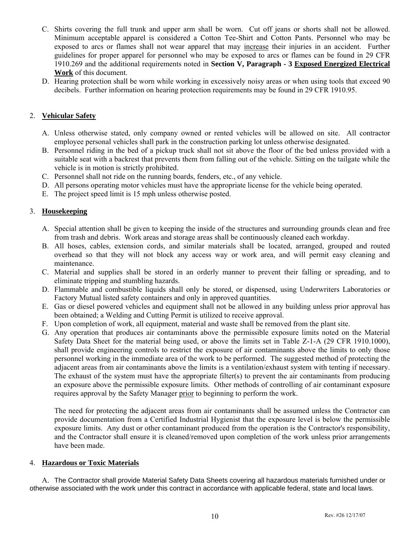- C. Shirts covering the full trunk and upper arm shall be worn. Cut off jeans or shorts shall not be allowed. Minimum acceptable apparel is considered a Cotton Tee-Shirt and Cotton Pants. Personnel who may be exposed to arcs or flames shall not wear apparel that may increase their injuries in an accident. Further guidelines for proper apparel for personnel who may be exposed to arcs or flames can be found in 29 CFR 1910.269 and the additional requirements noted in **Section V, Paragraph - 3 Exposed Energized Electrical Work** of this document.
- D. Hearing protection shall be worn while working in excessively noisy areas or when using tools that exceed 90 decibels. Further information on hearing protection requirements may be found in 29 CFR 1910.95.

#### 2. **Vehicular Safety**

- A. Unless otherwise stated, only company owned or rented vehicles will be allowed on site. All contractor employee personal vehicles shall park in the construction parking lot unless otherwise designated.
- B. Personnel riding in the bed of a pickup truck shall not sit above the floor of the bed unless provided with a suitable seat with a backrest that prevents them from falling out of the vehicle. Sitting on the tailgate while the vehicle is in motion is strictly prohibited.
- C. Personnel shall not ride on the running boards, fenders, etc., of any vehicle.
- D. All persons operating motor vehicles must have the appropriate license for the vehicle being operated.
- E. The project speed limit is 15 mph unless otherwise posted.

#### 3. **Housekeeping**

- A. Special attention shall be given to keeping the inside of the structures and surrounding grounds clean and free from trash and debris. Work areas and storage areas shall be continuously cleaned each workday.
- B. All hoses, cables, extension cords, and similar materials shall be located, arranged, grouped and routed overhead so that they will not block any access way or work area, and will permit easy cleaning and maintenance.
- C. Material and supplies shall be stored in an orderly manner to prevent their falling or spreading, and to eliminate tripping and stumbling hazards.
- D. Flammable and combustible liquids shall only be stored, or dispensed, using Underwriters Laboratories or Factory Mutual listed safety containers and only in approved quantities.
- E. Gas or diesel powered vehicles and equipment shall not be allowed in any building unless prior approval has been obtained; a Welding and Cutting Permit is utilized to receive approval.
- F. Upon completion of work, all equipment, material and waste shall be removed from the plant site.
- G. Any operation that produces air contaminants above the permissible exposure limits noted on the Material Safety Data Sheet for the material being used, or above the limits set in Table Z-1-A (29 CFR 1910.1000), shall provide engineering controls to restrict the exposure of air contaminants above the limits to only those personnel working in the immediate area of the work to be performed. The suggested method of protecting the adjacent areas from air contaminants above the limits is a ventilation/exhaust system with tenting if necessary. The exhaust of the system must have the appropriate filter(s) to prevent the air contaminants from producing an exposure above the permissible exposure limits. Other methods of controlling of air contaminant exposure requires approval by the Safety Manager prior to beginning to perform the work.

The need for protecting the adjacent areas from air contaminants shall be assumed unless the Contractor can provide documentation from a Certified Industrial Hygienist that the exposure level is below the permissible exposure limits. Any dust or other contaminant produced from the operation is the Contractor's responsibility, and the Contractor shall ensure it is cleaned/removed upon completion of the work unless prior arrangements have been made.

#### 4. **Hazardous or Toxic Materials**

A. The Contractor shall provide Material Safety Data Sheets covering all hazardous materials furnished under or otherwise associated with the work under this contract in accordance with applicable federal, state and local laws.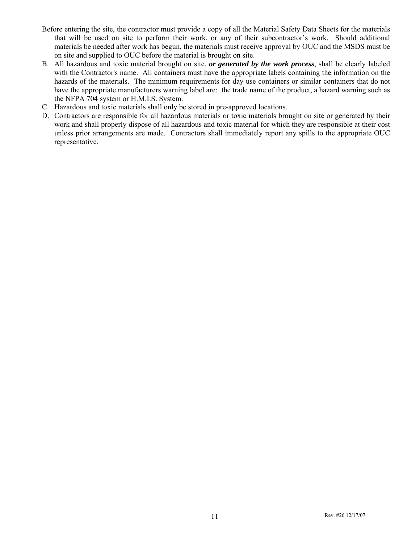- Before entering the site, the contractor must provide a copy of all the Material Safety Data Sheets for the materials that will be used on site to perform their work, or any of their subcontractor's work. Should additional materials be needed after work has begun, the materials must receive approval by OUC and the MSDS must be on site and supplied to OUC before the material is brought on site.
- B. All hazardous and toxic material brought on site, *or generated by the work process*, shall be clearly labeled with the Contractor's name. All containers must have the appropriate labels containing the information on the hazards of the materials. The minimum requirements for day use containers or similar containers that do not have the appropriate manufacturers warning label are: the trade name of the product, a hazard warning such as the NFPA 704 system or H.M.I.S. System.
- C. Hazardous and toxic materials shall only be stored in pre-approved locations.
- D. Contractors are responsible for all hazardous materials or toxic materials brought on site or generated by their work and shall properly dispose of all hazardous and toxic material for which they are responsible at their cost unless prior arrangements are made. Contractors shall immediately report any spills to the appropriate OUC representative.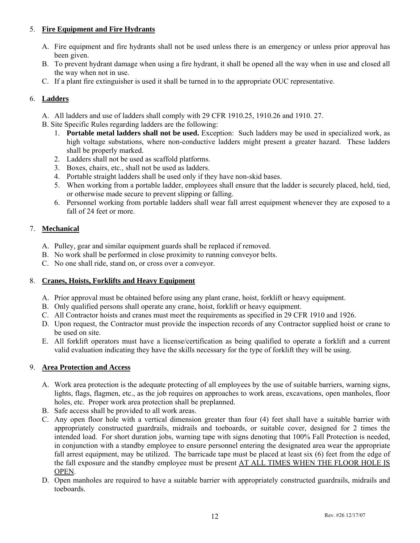#### 5. **Fire Equipment and Fire Hydrants**

- A. Fire equipment and fire hydrants shall not be used unless there is an emergency or unless prior approval has been given.
- B. To prevent hydrant damage when using a fire hydrant, it shall be opened all the way when in use and closed all the way when not in use.
- C. If a plant fire extinguisher is used it shall be turned in to the appropriate OUC representative.

#### 6. **Ladders**

A. All ladders and use of ladders shall comply with 29 CFR 1910.25, 1910.26 and 1910. 27.

B. Site Specific Rules regarding ladders are the following:

- 1. **Portable metal ladders shall not be used.** Exception: Such ladders may be used in specialized work, as high voltage substations, where non-conductive ladders might present a greater hazard. These ladders shall be properly marked.
- 2. Ladders shall not be used as scaffold platforms.
- 3. Boxes, chairs, etc., shall not be used as ladders.
- 4. Portable straight ladders shall be used only if they have non-skid bases.
- 5. When working from a portable ladder, employees shall ensure that the ladder is securely placed, held, tied, or otherwise made secure to prevent slipping or falling.
- 6. Personnel working from portable ladders shall wear fall arrest equipment whenever they are exposed to a fall of 24 feet or more.

#### 7. **Mechanical**

- A. Pulley, gear and similar equipment guards shall be replaced if removed.
- B. No work shall be performed in close proximity to running conveyor belts.
- C. No one shall ride, stand on, or cross over a conveyor.

#### 8. **Cranes, Hoists, Forklifts and Heavy Equipment**

- A. Prior approval must be obtained before using any plant crane, hoist, forklift or heavy equipment.
- B. Only qualified persons shall operate any crane, hoist, forklift or heavy equipment.
- C. All Contractor hoists and cranes must meet the requirements as specified in 29 CFR 1910 and 1926.
- D. Upon request, the Contractor must provide the inspection records of any Contractor supplied hoist or crane to be used on site.
- E. All forklift operators must have a license/certification as being qualified to operate a forklift and a current valid evaluation indicating they have the skills necessary for the type of forklift they will be using.

#### 9. **Area Protection and Access**

- A. Work area protection is the adequate protecting of all employees by the use of suitable barriers, warning signs, lights, flags, flagmen, etc., as the job requires on approaches to work areas, excavations, open manholes, floor holes, etc. Proper work area protection shall be preplanned.
- B. Safe access shall be provided to all work areas.
- C. Any open floor hole with a vertical dimension greater than four (4) feet shall have a suitable barrier with appropriately constructed guardrails, midrails and toeboards, or suitable cover, designed for 2 times the intended load. For short duration jobs, warning tape with signs denoting that 100% Fall Protection is needed, in conjunction with a standby employee to ensure personnel entering the designated area wear the appropriate fall arrest equipment, may be utilized. The barricade tape must be placed at least six (6) feet from the edge of the fall exposure and the standby employee must be present AT ALL TIMES WHEN THE FLOOR HOLE IS OPEN.
- D. Open manholes are required to have a suitable barrier with appropriately constructed guardrails, midrails and toeboards.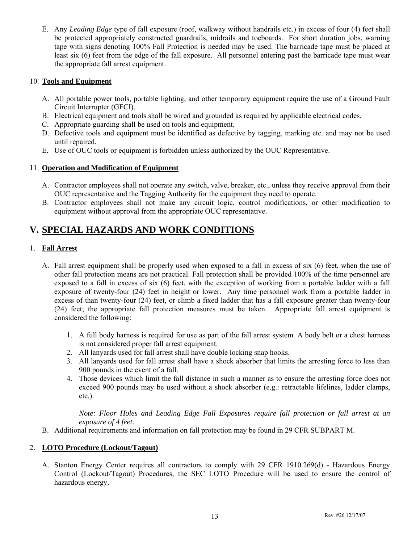E. Any *Leading Edge* type of fall exposure (roof, walkway without handrails etc.) in excess of four (4) feet shall be protected appropriately constructed guardrails, midrails and toeboards. For short duration jobs, warning tape with signs denoting 100% Fall Protection is needed may be used. The barricade tape must be placed at least six (6) feet from the edge of the fall exposure. All personnel entering past the barricade tape must wear the appropriate fall arrest equipment.

#### 10. **Tools and Equipment**

- A. All portable power tools, portable lighting, and other temporary equipment require the use of a Ground Fault Circuit Interrupter (GFCI).
- B. Electrical equipment and tools shall be wired and grounded as required by applicable electrical codes.
- C. Appropriate guarding shall be used on tools and equipment.
- D. Defective tools and equipment must be identified as defective by tagging, marking etc. and may not be used until repaired.
- E. Use of OUC tools or equipment is forbidden unless authorized by the OUC Representative.

#### 11. **Operation and Modification of Equipment**

- A. Contractor employees shall not operate any switch, valve, breaker, etc., unless they receive approval from their OUC representative and the Tagging Authority for the equipment they need to operate.
- B. Contractor employees shall not make any circuit logic, control modifications, or other modification to equipment without approval from the appropriate OUC representative.

## **V. SPECIAL HAZARDS AND WORK CONDITIONS**

#### 1. **Fall Arrest**

- A. Fall arrest equipment shall be properly used when exposed to a fall in excess of six (6) feet, when the use of other fall protection means are not practical. Fall protection shall be provided 100% of the time personnel are exposed to a fall in excess of six (6) feet, with the exception of working from a portable ladder with a fall exposure of twenty-four (24) feet in height or lower. Any time personnel work from a portable ladder in excess of than twenty-four (24) feet, or climb a fixed ladder that has a fall exposure greater than twenty-four (24) feet; the appropriate fall protection measures must be taken. Appropriate fall arrest equipment is considered the following:
	- 1. A full body harness is required for use as part of the fall arrest system. A body belt or a chest harness is not considered proper fall arrest equipment.
	- 2. All lanyards used for fall arrest shall have double locking snap hooks.
	- 3. All lanyards used for fall arrest shall have a shock absorber that limits the arresting force to less than 900 pounds in the event of a fall.
	- 4. Those devices which limit the fall distance in such a manner as to ensure the arresting force does not exceed 900 pounds may be used without a shock absorber (e.g.: retractable lifelines, ladder clamps, etc.).

*Note: Floor Holes and Leading Edge Fall Exposures require fall protection or fall arrest at an exposure of 4 feet.*

B. Additional requirements and information on fall protection may be found in 29 CFR SUBPART M.

#### 2. **LOTO Procedure (Lockout/Tagout)**

A. Stanton Energy Center requires all contractors to comply with 29 CFR 1910.269(d) - Hazardous Energy Control (Lockout/Tagout) Procedures, the SEC LOTO Procedure will be used to ensure the control of hazardous energy.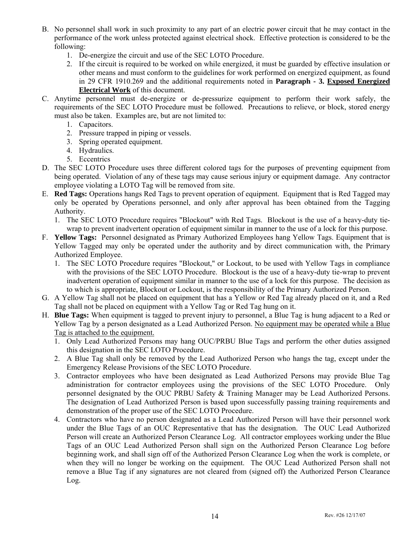- B. No personnel shall work in such proximity to any part of an electric power circuit that he may contact in the performance of the work unless protected against electrical shock. Effective protection is considered to be the following:
	- 1. De-energize the circuit and use of the SEC LOTO Procedure.
	- 2. If the circuit is required to be worked on while energized, it must be guarded by effective insulation or other means and must conform to the guidelines for work performed on energized equipment, as found in 29 CFR 1910.269 and the additional requirements noted in **Paragraph - 3. Exposed Energized Electrical Work** of this document.
- C. Anytime personnel must de-energize or de-pressurize equipment to perform their work safely, the requirements of the SEC LOTO Procedure must be followed. Precautions to relieve, or block, stored energy must also be taken. Examples are, but are not limited to:
	- 1. Capacitors.
	- 2. Pressure trapped in piping or vessels.
	- 3. Spring operated equipment.
	- 4. Hydraulics.
	- 5. Eccentrics
- D. The SEC LOTO Procedure uses three different colored tags for the purposes of preventing equipment from being operated. Violation of any of these tags may cause serious injury or equipment damage. Any contractor employee violating a LOTO Tag will be removed from site.
- E. **Red Tags:** Operations hangs Red Tags to prevent operation of equipment. Equipment that is Red Tagged may only be operated by Operations personnel, and only after approval has been obtained from the Tagging Authority.
	- 1. The SEC LOTO Procedure requires "Blockout" with Red Tags. Blockout is the use of a heavy-duty tiewrap to prevent inadvertent operation of equipment similar in manner to the use of a lock for this purpose.
- F. **Yellow Tags:** Personnel designated as Primary Authorized Employees hang Yellow Tags. Equipment that is Yellow Tagged may only be operated under the authority and by direct communication with, the Primary Authorized Employee.
	- 1. The SEC LOTO Procedure requires "Blockout," or Lockout, to be used with Yellow Tags in compliance with the provisions of the SEC LOTO Procedure. Blockout is the use of a heavy-duty tie-wrap to prevent inadvertent operation of equipment similar in manner to the use of a lock for this purpose. The decision as to which is appropriate, Blockout or Lockout, is the responsibility of the Primary Authorized Person.
- G. A Yellow Tag shall not be placed on equipment that has a Yellow or Red Tag already placed on it, and a Red Tag shall not be placed on equipment with a Yellow Tag or Red Tag hung on it.
- H. **Blue Tags:** When equipment is tagged to prevent injury to personnel, a Blue Tag is hung adjacent to a Red or Yellow Tag by a person designated as a Lead Authorized Person. No equipment may be operated while a Blue Tag is attached to the equipment.
	- 1. Only Lead Authorized Persons may hang OUC/PRBU Blue Tags and perform the other duties assigned this designation in the SEC LOTO Procedure.
	- 2. A Blue Tag shall only be removed by the Lead Authorized Person who hangs the tag, except under the Emergency Release Provisions of the SEC LOTO Procedure.
	- 3. Contractor employees who have been designated as Lead Authorized Persons may provide Blue Tag administration for contractor employees using the provisions of the SEC LOTO Procedure. Only personnel designated by the OUC PRBU Safety & Training Manager may be Lead Authorized Persons. The designation of Lead Authorized Person is based upon successfully passing training requirements and demonstration of the proper use of the SEC LOTO Procedure.
	- 4. Contractors who have no person designated as a Lead Authorized Person will have their personnel work under the Blue Tags of an OUC Representative that has the designation. The OUC Lead Authorized Person will create an Authorized Person Clearance Log. All contractor employees working under the Blue Tags of an OUC Lead Authorized Person shall sign on the Authorized Person Clearance Log before beginning work, and shall sign off of the Authorized Person Clearance Log when the work is complete, or when they will no longer be working on the equipment. The OUC Lead Authorized Person shall not remove a Blue Tag if any signatures are not cleared from (signed off) the Authorized Person Clearance Log.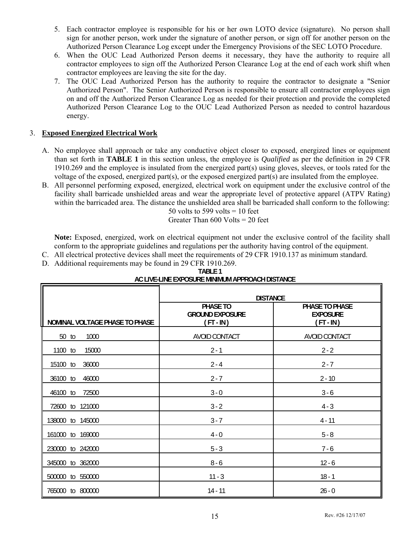- 5. Each contractor employee is responsible for his or her own LOTO device (signature). No person shall sign for another person, work under the signature of another person, or sign off for another person on the Authorized Person Clearance Log except under the Emergency Provisions of the SEC LOTO Procedure.
- 6. When the OUC Lead Authorized Person deems it necessary, they have the authority to require all contractor employees to sign off the Authorized Person Clearance Log at the end of each work shift when contractor employees are leaving the site for the day.
- 7. The OUC Lead Authorized Person has the authority to require the contractor to designate a "Senior Authorized Person". The Senior Authorized Person is responsible to ensure all contractor employees sign on and off the Authorized Person Clearance Log as needed for their protection and provide the completed Authorized Person Clearance Log to the OUC Lead Authorized Person as needed to control hazardous energy.

#### 3. **Exposed Energized Electrical Work**

- A. No employee shall approach or take any conductive object closer to exposed, energized lines or equipment than set forth in **TABLE 1** in this section unless, the employee is *Qualified* as per the definition in 29 CFR  $1910.269$  and the employee is insulated from the energized part(s) using gloves, sleeves, or tools rated for the voltage of the exposed, energized part(s), or the exposed energized part(s) are insulated from the employee.
- B. All personnel performing exposed, energized, electrical work on equipment under the exclusive control of the facility shall barricade unshielded areas and wear the appropriate level of protective apparel (ATPV Rating) within the barricaded area. The distance the unshielded area shall be barricaded shall conform to the following:<br> $50$  volts to 599 volts = 10 feet  $50$  volts to  $599$  volts

$$
30 \text{ volts to } 399 \text{ volts} = 10 \text{ ice}
$$

$$
Constr. The x = 600 \text{ N} \cdot \text{Hz} = 20
$$

Greater Than 600 Volts = 20 feet

 **Note:** Exposed, energized, work on electrical equipment not under the exclusive control of the facility shall conform to the appropriate guidelines and regulations per the authority having control of the equipment.

- C. All electrical protective devices shall meet the requirements of 29 CFR 1910.137 as minimum standard.
- D. Additional requirements may be found in 29 CFR 1910.269.

| AU LIVE-LINE EXPUSURE MINIMUM APPRUAUTI DISTANUE |                                                 |                                                |  |  |
|--------------------------------------------------|-------------------------------------------------|------------------------------------------------|--|--|
|                                                  | <b>DISTANCE</b>                                 |                                                |  |  |
| NOMINAL VOLTAGE PHASE TO PHASE                   | PHASE TO<br><b>GROUND EXPOSURE</b><br>(FT - IN) | PHASE TO PHASE<br><b>EXPOSURE</b><br>(FT - IN) |  |  |
| 50 to<br>1000                                    | AVOID CONTACT                                   | AVOID CONTACT                                  |  |  |
| 15000<br>1100 to                                 | $2 - 1$                                         | $2 - 2$                                        |  |  |
| 15100 to<br>36000                                | $2 - 4$                                         | $2 - 7$                                        |  |  |
| 36100 to<br>46000                                | $2 - 7$                                         | $2 - 10$                                       |  |  |
| 46100 to<br>72500                                | $3 - 0$                                         | $3 - 6$                                        |  |  |
| 72600 to 121000                                  | $3 - 2$                                         | $4 - 3$                                        |  |  |
| 145000<br>138000<br>to                           | $3 - 7$                                         | $4 - 11$                                       |  |  |
| 161000 to 169000                                 | $4 - 0$                                         | $5 - 8$                                        |  |  |
| to 242000<br>230000                              | $5 - 3$                                         | $7 - 6$                                        |  |  |
| 345000 to 362000                                 | $8 - 6$                                         | $12 - 6$                                       |  |  |
| to 550000<br>500000                              | $11 - 3$                                        | $18 - 1$                                       |  |  |
| 765000 to 800000                                 | $14 - 11$                                       | $26 - 0$                                       |  |  |

#### **TABLE 1 AC LIVE-LINE EXPOSURE MINIMUM APPROACH DISTANCE**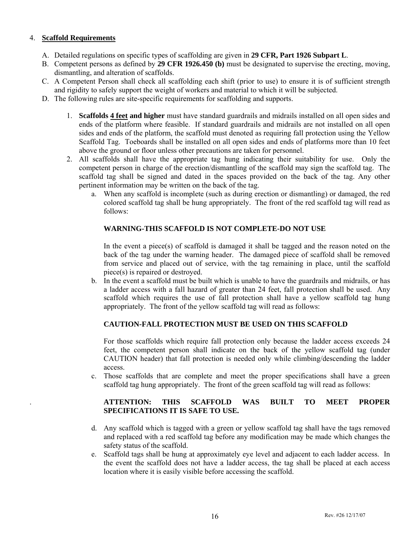#### 4. **Scaffold Requirements**

- A. Detailed regulations on specific types of scaffolding are given in **29 CFR, Part 1926 Subpart L**.
- B. Competent persons as defined by **29 CFR 1926.450 (b)** must be designated to supervise the erecting, moving, dismantling, and alteration of scaffolds.
- C. A Competent Person shall check all scaffolding each shift (prior to use) to ensure it is of sufficient strength and rigidity to safely support the weight of workers and material to which it will be subjected.
- D. The following rules are site-specific requirements for scaffolding and supports.
	- 1. **Scaffolds 4 feet and higher** must have standard guardrails and midrails installed on all open sides and ends of the platform where feasible. If standard guardrails and midrails are not installed on all open sides and ends of the platform, the scaffold must denoted as requiring fall protection using the Yellow Scaffold Tag. Toeboards shall be installed on all open sides and ends of platforms more than 10 feet above the ground or floor unless other precautions are taken for personnel.
	- 2. All scaffolds shall have the appropriate tag hung indicating their suitability for use. Only the competent person in charge of the erection/dismantling of the scaffold may sign the scaffold tag. The scaffold tag shall be signed and dated in the spaces provided on the back of the tag. Any other pertinent information may be written on the back of the tag.
		- a. When any scaffold is incomplete (such as during erection or dismantling) or damaged, the red colored scaffold tag shall be hung appropriately. The front of the red scaffold tag will read as follows:

#### **WARNING-THIS SCAFFOLD IS NOT COMPLETE-DO NOT USE**

In the event a piece(s) of scaffold is damaged it shall be tagged and the reason noted on the back of the tag under the warning header. The damaged piece of scaffold shall be removed from service and placed out of service, with the tag remaining in place, until the scaffold piece(s) is repaired or destroyed.

 b. In the event a scaffold must be built which is unable to have the guardrails and midrails, or has a ladder access with a fall hazard of greater than 24 feet, fall protection shall be used. Any scaffold which requires the use of fall protection shall have a yellow scaffold tag hung appropriately. The front of the yellow scaffold tag will read as follows:

#### **CAUTION-FALL PROTECTION MUST BE USED ON THIS SCAFFOLD**

For those scaffolds which require fall protection only because the ladder access exceeds 24 feet, the competent person shall indicate on the back of the yellow scaffold tag (under CAUTION header) that fall protection is needed only while climbing/descending the ladder access.

 c. Those scaffolds that are complete and meet the proper specifications shall have a green scaffold tag hung appropriately. The front of the green scaffold tag will read as follows:

#### . **ATTENTION: THIS SCAFFOLD WAS BUILT TO MEET PROPER SPECIFICATIONS IT IS SAFE TO USE.**

- d. Any scaffold which is tagged with a green or yellow scaffold tag shall have the tags removed and replaced with a red scaffold tag before any modification may be made which changes the safety status of the scaffold.
- e. Scaffold tags shall be hung at approximately eye level and adjacent to each ladder access. In the event the scaffold does not have a ladder access, the tag shall be placed at each access location where it is easily visible before accessing the scaffold.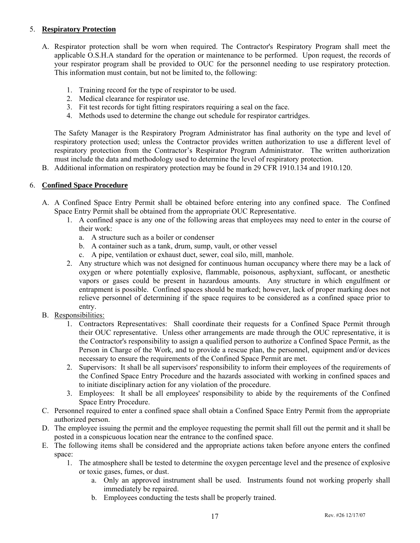#### 5. **Respiratory Protection**

- A. Respirator protection shall be worn when required. The Contractor's Respiratory Program shall meet the applicable O.S.H.A standard for the operation or maintenance to be performed. Upon request, the records of your respirator program shall be provided to OUC for the personnel needing to use respiratory protection. This information must contain, but not be limited to, the following:
	- 1. Training record for the type of respirator to be used.
	- 2. Medical clearance for respirator use.
	- 3. Fit test records for tight fitting respirators requiring a seal on the face.
	- 4. Methods used to determine the change out schedule for respirator cartridges.

The Safety Manager is the Respiratory Program Administrator has final authority on the type and level of respiratory protection used; unless the Contractor provides written authorization to use a different level of respiratory protection from the Contractor's Respirator Program Administrator. The written authorization must include the data and methodology used to determine the level of respiratory protection.

B. Additional information on respiratory protection may be found in 29 CFR 1910.134 and 1910.120.

#### 6. **Confined Space Procedure**

- A. A Confined Space Entry Permit shall be obtained before entering into any confined space. The Confined Space Entry Permit shall be obtained from the appropriate OUC Representative.
	- 1. A confined space is any one of the following areas that employees may need to enter in the course of their work:
		- a. A structure such as a boiler or condenser
		- b. A container such as a tank, drum, sump, vault, or other vessel
		- c. A pipe, ventilation or exhaust duct, sewer, coal silo, mill, manhole.
	- 2. Any structure which was not designed for continuous human occupancy where there may be a lack of oxygen or where potentially explosive, flammable, poisonous, asphyxiant, suffocant, or anesthetic vapors or gases could be present in hazardous amounts. Any structure in which engulfment or entrapment is possible. Confined spaces should be marked; however, lack of proper marking does not relieve personnel of determining if the space requires to be considered as a confined space prior to entry.
- B. Responsibilities:
	- 1. Contractors Representatives: Shall coordinate their requests for a Confined Space Permit through their OUC representative. Unless other arrangements are made through the OUC representative, it is the Contractor's responsibility to assign a qualified person to authorize a Confined Space Permit, as the Person in Charge of the Work, and to provide a rescue plan, the personnel, equipment and/or devices necessary to ensure the requirements of the Confined Space Permit are met.
	- 2. Supervisors: It shall be all supervisors' responsibility to inform their employees of the requirements of the Confined Space Entry Procedure and the hazards associated with working in confined spaces and to initiate disciplinary action for any violation of the procedure.
	- 3. Employees: It shall be all employees' responsibility to abide by the requirements of the Confined Space Entry Procedure.
- C. Personnel required to enter a confined space shall obtain a Confined Space Entry Permit from the appropriate authorized person.
- D. The employee issuing the permit and the employee requesting the permit shall fill out the permit and it shall be posted in a conspicuous location near the entrance to the confined space.
- E. The following items shall be considered and the appropriate actions taken before anyone enters the confined space:
	- 1. The atmosphere shall be tested to determine the oxygen percentage level and the presence of explosive or toxic gases, fumes, or dust.
		- a. Only an approved instrument shall be used. Instruments found not working properly shall immediately be repaired.
		- b. Employees conducting the tests shall be properly trained.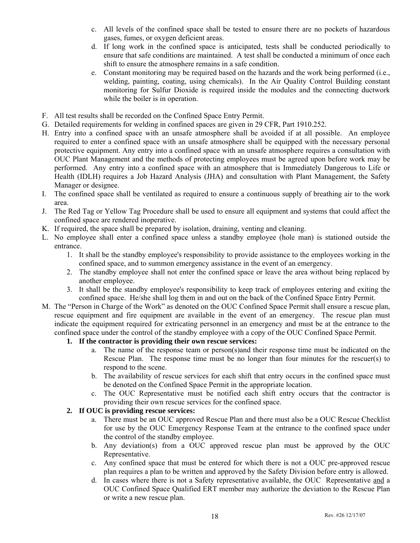- c. All levels of the confined space shall be tested to ensure there are no pockets of hazardous gases, fumes, or oxygen deficient areas.
- d. If long work in the confined space is anticipated, tests shall be conducted periodically to ensure that safe conditions are maintained. A test shall be conducted a minimum of once each shift to ensure the atmosphere remains in a safe condition.
- e. Constant monitoring may be required based on the hazards and the work being performed (i.e., welding, painting, coating, using chemicals). In the Air Quality Control Building constant monitoring for Sulfur Dioxide is required inside the modules and the connecting ductwork while the boiler is in operation.
- F. All test results shall be recorded on the Confined Space Entry Permit.
- G. Detailed requirements for welding in confined spaces are given in 29 CFR, Part 1910.252.
- H. Entry into a confined space with an unsafe atmosphere shall be avoided if at all possible. An employee required to enter a confined space with an unsafe atmosphere shall be equipped with the necessary personal protective equipment. Any entry into a confined space with an unsafe atmosphere requires a consultation with OUC Plant Management and the methods of protecting employees must be agreed upon before work may be performed. Any entry into a confined space with an atmosphere that is Immediately Dangerous to Life or Health (IDLH) requires a Job Hazard Analysis (JHA) and consultation with Plant Management, the Safety Manager or designee.
- I. The confined space shall be ventilated as required to ensure a continuous supply of breathing air to the work area.
- J. The Red Tag or Yellow Tag Procedure shall be used to ensure all equipment and systems that could affect the confined space are rendered inoperative.
- K. If required, the space shall be prepared by isolation, draining, venting and cleaning.
- L. No employee shall enter a confined space unless a standby employee (hole man) is stationed outside the entrance.
	- 1. It shall be the standby employee's responsibility to provide assistance to the employees working in the confined space, and to summon emergency assistance in the event of an emergency.
	- 2. The standby employee shall not enter the confined space or leave the area without being replaced by another employee.
	- 3. It shall be the standby employee's responsibility to keep track of employees entering and exiting the confined space. He/she shall log them in and out on the back of the Confined Space Entry Permit.
- M. The "Person in Charge of the Work" as denoted on the OUC Confined Space Permit shall ensure a rescue plan, rescue equipment and fire equipment are available in the event of an emergency. The rescue plan must indicate the equipment required for extricating personnel in an emergency and must be at the entrance to the confined space under the control of the standby employee with a copy of the OUC Confined Space Permit.

#### **1. If the contractor is providing their own rescue services:**

- a. The name of the response team or person(s)and their response time must be indicated on the Rescue Plan. The response time must be no longer than four minutes for the rescuer(s) to respond to the scene.
- b. The availability of rescue services for each shift that entry occurs in the confined space must be denoted on the Confined Space Permit in the appropriate location.
- c. The OUC Representative must be notified each shift entry occurs that the contractor is providing their own rescue services for the confined space.

#### **2. If OUC is providing rescue services:**

- a. There must be an OUC approved Rescue Plan and there must also be a OUC Rescue Checklist for use by the OUC Emergency Response Team at the entrance to the confined space under the control of the standby employee.
- b. Any deviation(s) from a OUC approved rescue plan must be approved by the OUC Representative.
- c. Any confined space that must be entered for which there is not a OUC pre-approved rescue plan requires a plan to be written and approved by the Safety Division before entry is allowed.
- d. In cases where there is not a Safety representative available, the OUC Representative and a OUC Confined Space Qualified ERT member may authorize the deviation to the Rescue Plan or write a new rescue plan.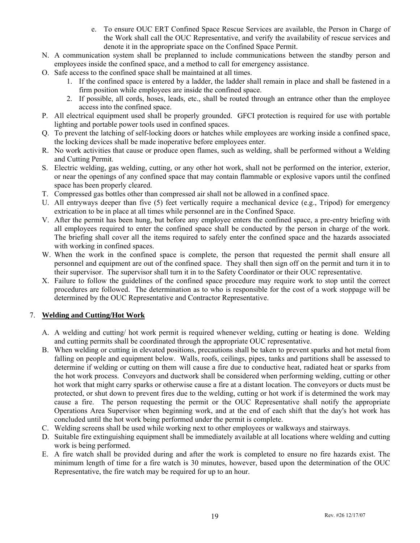- e. To ensure OUC ERT Confined Space Rescue Services are available, the Person in Charge of the Work shall call the OUC Representative, and verify the availability of rescue services and denote it in the appropriate space on the Confined Space Permit.
- N. A communication system shall be preplanned to include communications between the standby person and employees inside the confined space, and a method to call for emergency assistance.
- O. Safe access to the confined space shall be maintained at all times.
	- 1. If the confined space is entered by a ladder, the ladder shall remain in place and shall be fastened in a firm position while employees are inside the confined space.
	- 2. If possible, all cords, hoses, leads, etc., shall be routed through an entrance other than the employee access into the confined space.
- P. All electrical equipment used shall be properly grounded. GFCI protection is required for use with portable lighting and portable power tools used in confined spaces.
- Q. To prevent the latching of self-locking doors or hatches while employees are working inside a confined space, the locking devices shall be made inoperative before employees enter.
- R. No work activities that cause or produce open flames, such as welding, shall be performed without a Welding and Cutting Permit.
- S. Electric welding, gas welding, cutting, or any other hot work, shall not be performed on the interior, exterior, or near the openings of any confined space that may contain flammable or explosive vapors until the confined space has been properly cleared.
- T. Compressed gas bottles other than compressed air shall not be allowed in a confined space.
- U. All entryways deeper than five (5) feet vertically require a mechanical device (e.g., Tripod) for emergency extrication to be in place at all times while personnel are in the Confined Space.
- V. After the permit has been hung, but before any employee enters the confined space, a pre-entry briefing with all employees required to enter the confined space shall be conducted by the person in charge of the work. The briefing shall cover all the items required to safely enter the confined space and the hazards associated with working in confined spaces.
- W. When the work in the confined space is complete, the person that requested the permit shall ensure all personnel and equipment are out of the confined space. They shall then sign off on the permit and turn it in to their supervisor. The supervisor shall turn it in to the Safety Coordinator or their OUC representative.
- X. Failure to follow the guidelines of the confined space procedure may require work to stop until the correct procedures are followed. The determination as to who is responsible for the cost of a work stoppage will be determined by the OUC Representative and Contractor Representative.

#### 7. **Welding and Cutting/Hot Work**

- A. A welding and cutting/ hot work permit is required whenever welding, cutting or heating is done. Welding and cutting permits shall be coordinated through the appropriate OUC representative.
- B. When welding or cutting in elevated positions, precautions shall be taken to prevent sparks and hot metal from falling on people and equipment below. Walls, roofs, ceilings, pipes, tanks and partitions shall be assessed to determine if welding or cutting on them will cause a fire due to conductive heat, radiated heat or sparks from the hot work process. Conveyors and ductwork shall be considered when performing welding, cutting or other hot work that might carry sparks or otherwise cause a fire at a distant location. The conveyors or ducts must be protected, or shut down to prevent fires due to the welding, cutting or hot work if is determined the work may cause a fire. The person requesting the permit or the OUC Representative shall notify the appropriate Operations Area Supervisor when beginning work, and at the end of each shift that the day's hot work has concluded until the hot work being performed under the permit is complete.
- C. Welding screens shall be used while working next to other employees or walkways and stairways.
- D. Suitable fire extinguishing equipment shall be immediately available at all locations where welding and cutting work is being performed.
- E. A fire watch shall be provided during and after the work is completed to ensure no fire hazards exist. The minimum length of time for a fire watch is 30 minutes, however, based upon the determination of the OUC Representative, the fire watch may be required for up to an hour.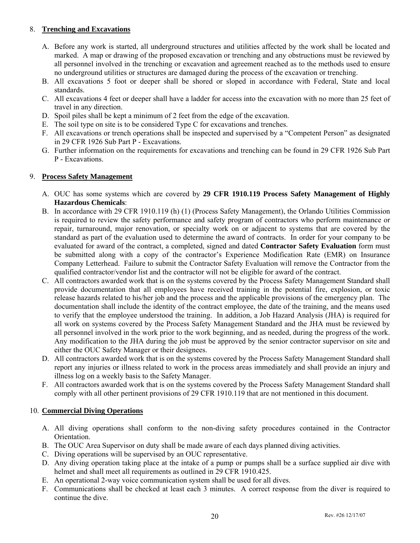#### 8. **Trenching and Excavations**

- A. Before any work is started, all underground structures and utilities affected by the work shall be located and marked. A map or drawing of the proposed excavation or trenching and any obstructions must be reviewed by all personnel involved in the trenching or excavation and agreement reached as to the methods used to ensure no underground utilities or structures are damaged during the process of the excavation or trenching.
- B. All excavations 5 foot or deeper shall be shored or sloped in accordance with Federal, State and local standards.
- C. All excavations 4 feet or deeper shall have a ladder for access into the excavation with no more than 25 feet of travel in any direction.
- D. Spoil piles shall be kept a minimum of 2 feet from the edge of the excavation.
- E. The soil type on site is to be considered Type C for excavations and trenches.
- F. All excavations or trench operations shall be inspected and supervised by a "Competent Person" as designated in 29 CFR 1926 Sub Part P - Excavations.
- G. Further information on the requirements for excavations and trenching can be found in 29 CFR 1926 Sub Part P - Excavations.

#### 9. **Process Safety Management**

- A. OUC has some systems which are covered by **29 CFR 1910.119 Process Safety Management of Highly Hazardous Chemicals**:
- B. In accordance with 29 CFR 1910.119 (h) (1) (Process Safety Management), the Orlando Utilities Commission is required to review the safety performance and safety program of contractors who perform maintenance or repair, turnaround, major renovation, or specialty work on or adjacent to systems that are covered by the standard as part of the evaluation used to determine the award of contracts. In order for your company to be evaluated for award of the contract, a completed, signed and dated **Contractor Safety Evaluation** form must be submitted along with a copy of the contractor's Experience Modification Rate (EMR) on Insurance Company Letterhead. Failure to submit the Contractor Safety Evaluation will remove the Contractor from the qualified contractor/vendor list and the contractor will not be eligible for award of the contract.
- C. All contractors awarded work that is on the systems covered by the Process Safety Management Standard shall provide documentation that all employees have received training in the potential fire, explosion, or toxic release hazards related to his/her job and the process and the applicable provisions of the emergency plan. The documentation shall include the identity of the contract employee, the date of the training, and the means used to verify that the employee understood the training. In addition, a Job Hazard Analysis (JHA) is required for all work on systems covered by the Process Safety Management Standard and the JHA must be reviewed by all personnel involved in the work prior to the work beginning, and as needed, during the progress of the work. Any modification to the JHA during the job must be approved by the senior contractor supervisor on site and either the OUC Safety Manager or their designees.
- D. All contractors awarded work that is on the systems covered by the Process Safety Management Standard shall report any injuries or illness related to work in the process areas immediately and shall provide an injury and illness log on a weekly basis to the Safety Manager.
- F. All contractors awarded work that is on the systems covered by the Process Safety Management Standard shall comply with all other pertinent provisions of 29 CFR 1910.119 that are not mentioned in this document.

#### 10. **Commercial Diving Operations**

- A. All diving operations shall conform to the non-diving safety procedures contained in the Contractor Orientation.
- B. The OUC Area Supervisor on duty shall be made aware of each days planned diving activities.
- C. Diving operations will be supervised by an OUC representative.
- D. Any diving operation taking place at the intake of a pump or pumps shall be a surface supplied air dive with helmet and shall meet all requirements as outlined in 29 CFR 1910.425.
- E. An operational 2-way voice communication system shall be used for all dives.
- F. Communications shall be checked at least each 3 minutes. A correct response from the diver is required to continue the dive.